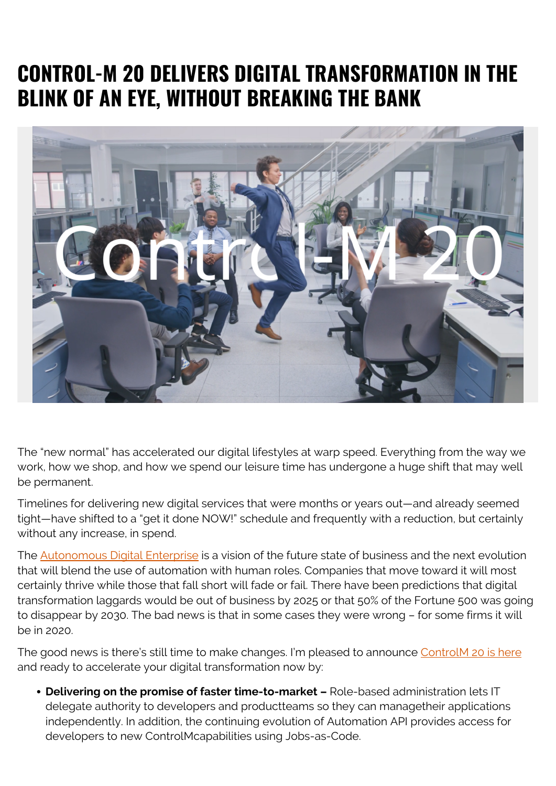# **CONTROL-M 20 DELIVERS DIGITAL TRANSFORMATION IN THE BLINK OF AN EYE, WITHOUT BREAKING THE BANK**



The "new normal" has accelerated our digital lifestyles at warp speed. Everything from the way we work, how we shop, and how we spend our leisure time has undergone a huge shift that may well be permanent.

Timelines for delivering new digital services that were months or years out—and already seemed tight—have shifted to a "get it done NOW!" schedule and frequently with a reduction, but certainly without any increase, in spend.

The **Autonomous Digital Enterprise** is a vision of the future state of business and the next evolution that will blend the use of automation with human roles. Companies that move toward it will most certainly thrive while those that fall short will fade or fail. There have been predictions that digital transformation laggards would be out of business by 2025 or that 50% of the Fortune 500 was going to disappear by 2030. The bad news is that in some cases they were wrong – for some firms it will be in 2020.

The good news is there's still time to make changes. I'm pleased to announce ControlM 20 is here and ready to accelerate your digital transformation now by:

**Delivering on the promise of faster time-to-market –** Role-based administration lets IT delegate authority to developers and product teams so they can manage their applications independently. In addition, the continuing evolution of Automation API provides access for developers to new ControlMcapabilities using Jobs-as-Code.